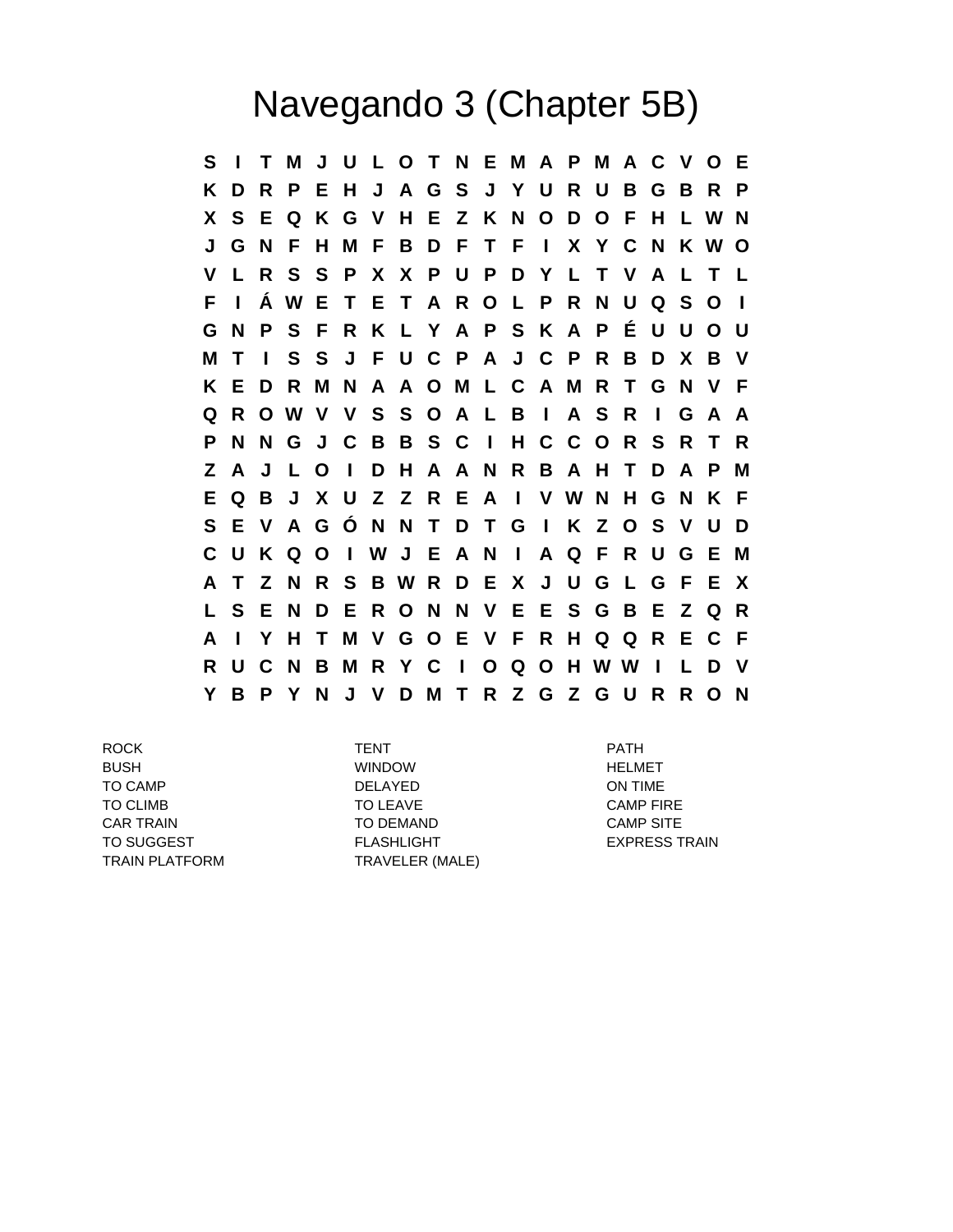## Navegando 3 (Chapter 5B)

**S I T M J U L O T N E M A P M A C V O E K D R P E H J A G S J Y U R U B G B R P X S E Q K G V H E Z K N O D O F H L W N J G N F H M F B D F T F I X Y C N K W O V L R S S P X X P U P D Y L T V A L T L F I Á W E T E T A R O L P R N U Q S O I G N P S F R K L Y A P S K A P É U U O U M T I S S J F U C P A J C P R B D X B V K E D R M N A A O M L C A M R T G N V F Q R O W V V S S O A L B I A S R I G A A P N N G J C B B S C I H C C O R S R T R Z A J L O I D H A A N R B A H T D A P M E Q B J X U Z Z R E A I V W N H G N K F S E V A G Ó N N T D T G I K Z O S V U D C U K Q O I W J E A N I A Q F R U G E M A T Z N R S B W R D E X J U G L G F E X L S E N D E R O N N V E E S G B E Z Q R A I Y H T M V G O E V F R H Q Q R E C F R U C N B M R Y C I O Q O H W W I L D V Y B P Y N J V D M T R Z G Z G U R R O N**

ROCK TENT PATH BUSH WINDOW HELMET TO CAMP DELAYED DELAYED ON TIME TO CLIMB TO LEAVE TO LEAVE CAMP FIRE CAR TRAIN TO DEMAND CAMP SITE TO SUGGEST FLASHLIGHT FLASHLIGHT EXPRESS TRAIN TRAIN PLATFORM TRAVELER (MALE)